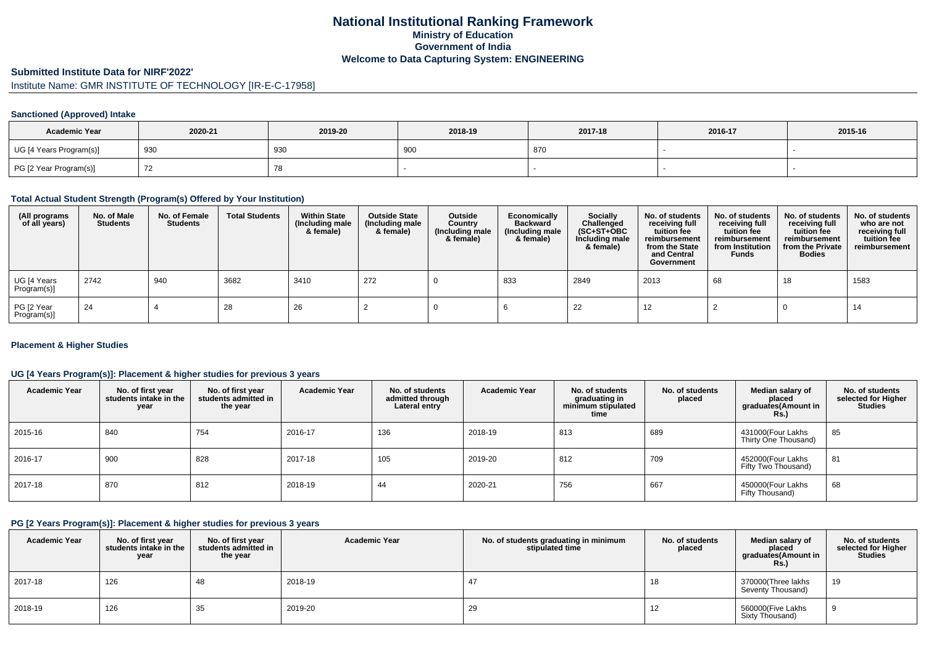### **National Institutional Ranking FrameworkMinistry of Education Government of IndiaWelcome to Data Capturing System: ENGINEERING**

#### **Submitted Institute Data for NIRF'2022'**

## Institute Name: GMR INSTITUTE OF TECHNOLOGY [IR-E-C-17958]

### **Sanctioned (Approved) Intake**

| <b>Academic Year</b>    | 2020-21 | 2019-20 | 2018-19 | 2017-18 | 2016-17 | 2015-16 |
|-------------------------|---------|---------|---------|---------|---------|---------|
| UG [4 Years Program(s)] | 930     | 930     | 900     | , 870   |         |         |
| PG [2 Year Program(s)]  |         | 78      |         |         |         |         |

### **Total Actual Student Strength (Program(s) Offered by Your Institution)**

| (All programs<br>of all years) | No. of Male<br><b>Students</b> | No. of Female<br>Students | <b>Total Students</b> | <b>Within State</b><br>(Including male<br>& female) | <b>Outside State</b><br>(Including male<br>& female) | Outside<br>Country<br>(Including male<br>& female) | Economically<br><b>Backward</b><br>(Including male<br>& female) | <b>Socially</b><br>Challenged<br>$(SC+ST+OBC)$<br>Including male<br>& female) | No. of students<br>receiving full<br>tuition fee<br>reimbursement<br>from the State<br>and Central<br>Government | No. of students<br>receiving full<br>tuition fee<br>reimbursement<br>from Institution<br><b>Funds</b> | No. of students<br>receiving full<br>tuition fee<br>reimbursement<br>from the Private<br><b>Bodies</b> | No. of students<br>who are not<br>receiving full<br>tuition fee<br>reimbursement |
|--------------------------------|--------------------------------|---------------------------|-----------------------|-----------------------------------------------------|------------------------------------------------------|----------------------------------------------------|-----------------------------------------------------------------|-------------------------------------------------------------------------------|------------------------------------------------------------------------------------------------------------------|-------------------------------------------------------------------------------------------------------|--------------------------------------------------------------------------------------------------------|----------------------------------------------------------------------------------|
| UG [4 Years<br>Program(s)]     | 2742                           | 940                       | 3682                  | 3410                                                | 272                                                  |                                                    | 833                                                             | 2849                                                                          | 2013                                                                                                             | 68                                                                                                    | 18                                                                                                     | 1583                                                                             |
| PG [2 Year<br>Program(s)]      | -24                            |                           | 28                    | 26                                                  |                                                      |                                                    |                                                                 | 22                                                                            | 12                                                                                                               |                                                                                                       |                                                                                                        | 14                                                                               |

### **Placement & Higher Studies**

### **UG [4 Years Program(s)]: Placement & higher studies for previous 3 years**

| <b>Academic Year</b> | No. of first year<br>students intake in the<br>year | No. of first vear<br>students admitted in<br>the year | <b>Academic Year</b> | No. of students<br>admitted through<br>Lateral entry | <b>Academic Year</b> | No. of students<br>graduating in<br>minimum stipulated<br>time | No. of students<br>placed | Median salary of<br>placed<br>graduates(Amount in<br>Rs.) | No. of students<br>selected for Higher<br><b>Studies</b> |
|----------------------|-----------------------------------------------------|-------------------------------------------------------|----------------------|------------------------------------------------------|----------------------|----------------------------------------------------------------|---------------------------|-----------------------------------------------------------|----------------------------------------------------------|
| 2015-16              | 840                                                 | 754                                                   | 2016-17              | 136                                                  | 2018-19              | 813                                                            | 689                       | 431000(Four Lakhs<br>Thirty One Thousand)                 | 85                                                       |
| 2016-17              | 900                                                 | 828                                                   | 2017-18              | 105                                                  | 2019-20              | 812                                                            | 709                       | 452000(Four Lakhs<br>Fifty Two Thousand)                  | 81                                                       |
| 2017-18              | 870                                                 | 812                                                   | 2018-19              | 44                                                   | 2020-21              | 756                                                            | 667                       | 450000(Four Lakhs<br>Fifty Thousand)                      | 68                                                       |

#### **PG [2 Years Program(s)]: Placement & higher studies for previous 3 years**

| <b>Academic Year</b> | No. of first year<br>students intake in the<br>year | No. of first year<br>students admitted in<br>the year | <b>Academic Year</b> | No. of students graduating in minimum<br>stipulated time | No. of students<br>placed | Median salary of<br>placed<br>graduates(Amount in<br><b>Rs.)</b> | No. of students<br>selected for Higher<br><b>Studies</b> |
|----------------------|-----------------------------------------------------|-------------------------------------------------------|----------------------|----------------------------------------------------------|---------------------------|------------------------------------------------------------------|----------------------------------------------------------|
| 2017-18              | 126                                                 | 40                                                    | 2018-19              | 47                                                       | 18                        | 370000(Three lakhs<br>Seventy Thousand)                          | 19                                                       |
| 2018-19              | 126                                                 | 35                                                    | 2019-20              | 29                                                       | 12                        | 560000(Five Lakhs<br>Sixty Thousand)                             |                                                          |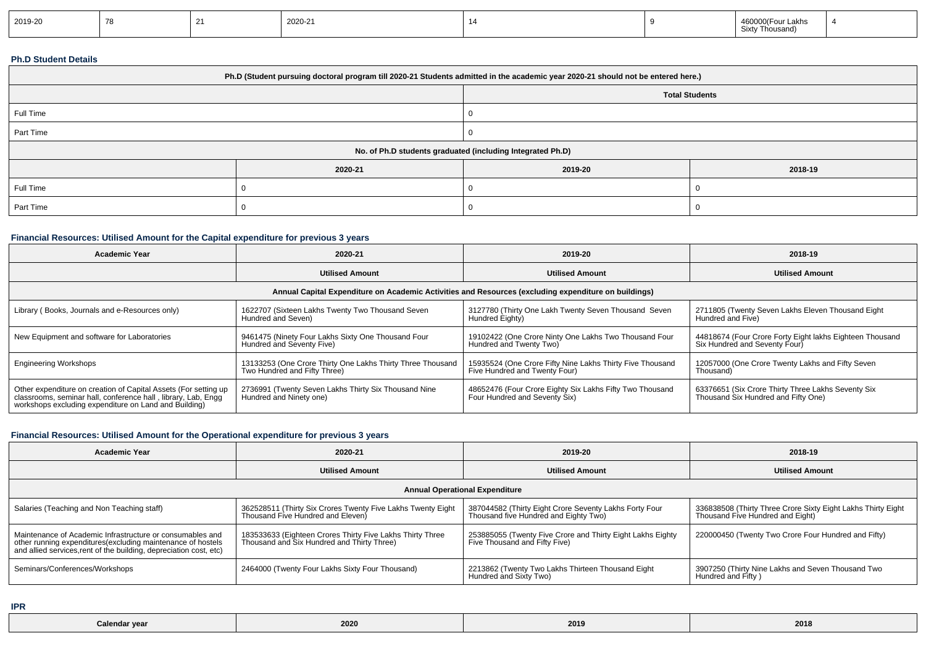| 2019-20 |  |  | 2020-21 |  |  | ∩00 Four Lakhs<br>4600<br>Sixty Thousand) |  |
|---------|--|--|---------|--|--|-------------------------------------------|--|
|---------|--|--|---------|--|--|-------------------------------------------|--|

### **Ph.D Student Details**

| Ph.D (Student pursuing doctoral program till 2020-21 Students admitted in the academic year 2020-21 should not be entered here.) |         |                                                            |         |  |  |  |
|----------------------------------------------------------------------------------------------------------------------------------|---------|------------------------------------------------------------|---------|--|--|--|
| <b>Total Students</b>                                                                                                            |         |                                                            |         |  |  |  |
| Full Time                                                                                                                        |         |                                                            |         |  |  |  |
| Part Time                                                                                                                        |         |                                                            |         |  |  |  |
|                                                                                                                                  |         | No. of Ph.D students graduated (including Integrated Ph.D) |         |  |  |  |
|                                                                                                                                  | 2020-21 | 2019-20                                                    | 2018-19 |  |  |  |
| Full Time                                                                                                                        |         |                                                            |         |  |  |  |
| Part Time                                                                                                                        |         |                                                            |         |  |  |  |

### **Financial Resources: Utilised Amount for the Capital expenditure for previous 3 years**

| <b>Academic Year</b>                                                                                                                                                                      | 2020-21                                                                                    | 2019-20                                                                                    | 2018-19                                                                                   |  |  |  |  |  |
|-------------------------------------------------------------------------------------------------------------------------------------------------------------------------------------------|--------------------------------------------------------------------------------------------|--------------------------------------------------------------------------------------------|-------------------------------------------------------------------------------------------|--|--|--|--|--|
|                                                                                                                                                                                           | <b>Utilised Amount</b>                                                                     | <b>Utilised Amount</b>                                                                     | <b>Utilised Amount</b>                                                                    |  |  |  |  |  |
| Annual Capital Expenditure on Academic Activities and Resources (excluding expenditure on buildings)                                                                                      |                                                                                            |                                                                                            |                                                                                           |  |  |  |  |  |
| Library (Books, Journals and e-Resources only)                                                                                                                                            | 1622707 (Sixteen Lakhs Twenty Two Thousand Seven<br>Hundred and Seven)                     | 3127780 (Thirty One Lakh Twenty Seven Thousand Seven<br>Hundred Eighty)                    | 2711805 (Twenty Seven Lakhs Eleven Thousand Eight<br>Hundred and Five)                    |  |  |  |  |  |
| New Equipment and software for Laboratories                                                                                                                                               | 9461475 (Ninety Four Lakhs Sixty One Thousand Four<br>Hundred and Seventy Five)            | 19102422 (One Crore Ninty One Lakhs Two Thousand Four<br>Hundred and Twenty Two)           | 44818674 (Four Crore Forty Eight lakhs Eighteen Thousand<br>Six Hundred and Seventy Four) |  |  |  |  |  |
| <b>Engineering Workshops</b>                                                                                                                                                              | 13133253 (One Crore Thirty One Lakhs Thirty Three Thousand<br>Two Hundred and Fifty Three) | 15935524 (One Crore Fifty Nine Lakhs Thirty Five Thousand<br>Five Hundred and Twenty Four) | 12057000 (One Crore Twenty Lakhs and Fifty Seven<br>Thousand)                             |  |  |  |  |  |
| Other expenditure on creation of Capital Assets (For setting up<br>classrooms, seminar hall, conference hall, library, Lab, Engg<br>workshops excluding expenditure on Land and Building) | 2736991 (Twenty Seven Lakhs Thirty Six Thousand Nine<br>Hundred and Ninety one)            | 48652476 (Four Crore Eighty Six Lakhs Fifty Two Thousand<br>Four Hundred and Seventy Six)  | 63376651 (Six Crore Thirty Three Lakhs Seventy Six<br>Thousand Six Hundred and Fifty One) |  |  |  |  |  |

## **Financial Resources: Utilised Amount for the Operational expenditure for previous 3 years**

| <b>Academic Year</b>                                                                                                                                                                            | 2020-21                                                                                                 | 2019-20                                                                                         | 2018-19                                                                                          |  |  |  |  |  |
|-------------------------------------------------------------------------------------------------------------------------------------------------------------------------------------------------|---------------------------------------------------------------------------------------------------------|-------------------------------------------------------------------------------------------------|--------------------------------------------------------------------------------------------------|--|--|--|--|--|
|                                                                                                                                                                                                 | <b>Utilised Amount</b>                                                                                  | <b>Utilised Amount</b>                                                                          | <b>Utilised Amount</b>                                                                           |  |  |  |  |  |
| <b>Annual Operational Expenditure</b>                                                                                                                                                           |                                                                                                         |                                                                                                 |                                                                                                  |  |  |  |  |  |
| Salaries (Teaching and Non Teaching staff)                                                                                                                                                      | 362528511 (Thirty Six Crores Twenty Five Lakhs Twenty Eight<br>Thousand Five Hundred and Eleven)        | 387044582 (Thirty Eight Crore Seventy Lakhs Forty Four<br>Thousand five Hundred and Eighty Two) | 336838508 (Thirty Three Crore Sixty Eight Lakhs Thirty Eight<br>Thousand Five Hundred and Eight) |  |  |  |  |  |
| Maintenance of Academic Infrastructure or consumables and<br>other running expenditures (excluding maintenance of hostels<br>and allied services, rent of the building, depreciation cost, etc) | 183533633 (Eighteen Crores Thirty Five Lakhs Thirty Three<br>Thousand and Six Hundred and Thirty Three) | 253885055 (Twenty Five Crore and Thirty Eight Lakhs Eighty<br>Five Thousand and Fifty Five)     | 220000450 (Twenty Two Crore Four Hundred and Fifty)                                              |  |  |  |  |  |
| Seminars/Conferences/Workshops                                                                                                                                                                  | 2464000 (Twenty Four Lakhs Sixty Four Thousand)                                                         | 2213862 (Twenty Two Lakhs Thirteen Thousand Eight<br>Hundred and Sixty Two)                     | 3907250 (Thirty Nine Lakhs and Seven Thousand Two<br>Hundred and Fifty)                          |  |  |  |  |  |

**IPR**

| Calendar year | 2020 | 2019 | 2018 |
|---------------|------|------|------|
|               |      |      |      |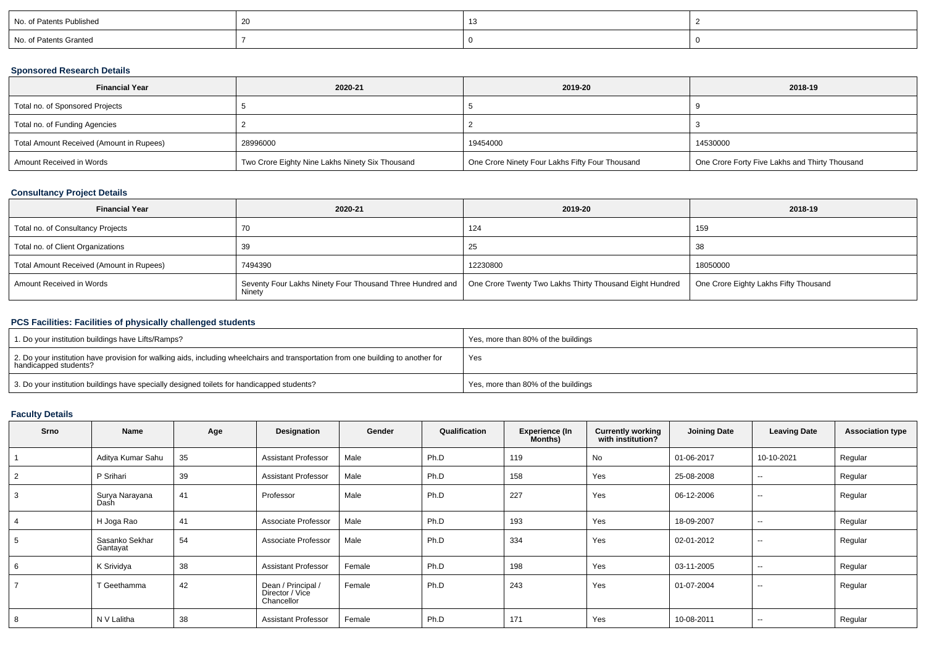| No. of Patents Published |  |  |
|--------------------------|--|--|
| No. of Patents Granted   |  |  |

### **Sponsored Research Details**

| <b>Financial Year</b>                    | 2020-21                                         | 2019-20                                         | 2018-19                                        |
|------------------------------------------|-------------------------------------------------|-------------------------------------------------|------------------------------------------------|
| Total no. of Sponsored Projects          |                                                 |                                                 |                                                |
| Total no. of Funding Agencies            |                                                 |                                                 |                                                |
| Total Amount Received (Amount in Rupees) | 28996000                                        | 19454000                                        | 14530000                                       |
| Amount Received in Words                 | Two Crore Eighty Nine Lakhs Ninety Six Thousand | One Crore Ninety Four Lakhs Fifty Four Thousand | One Crore Forty Five Lakhs and Thirty Thousand |

### **Consultancy Project Details**

| <b>Financial Year</b>                    | 2020-21                                                                                                                        | 2019-20  | 2018-19                               |
|------------------------------------------|--------------------------------------------------------------------------------------------------------------------------------|----------|---------------------------------------|
| Total no. of Consultancy Projects        |                                                                                                                                | 124      | 159                                   |
| Total no. of Client Organizations        |                                                                                                                                | 25       | -38                                   |
| Total Amount Received (Amount in Rupees) | 7494390                                                                                                                        | 12230800 | 18050000                              |
| Amount Received in Words                 | Seventy Four Lakhs Ninety Four Thousand Three Hundred and   One Crore Twenty Two Lakhs Thirty Thousand Eight Hundred<br>Ninety |          | One Crore Eighty Lakhs Fifty Thousand |

## **PCS Facilities: Facilities of physically challenged students**

| 1. Do your institution buildings have Lifts/Ramps?                                                                                                         | Yes, more than 80% of the buildings |
|------------------------------------------------------------------------------------------------------------------------------------------------------------|-------------------------------------|
| 2. Do your institution have provision for walking aids, including wheelchairs and transportation from one building to another for<br>handicapped students? | Yes                                 |
| 3. Do your institution buildings have specially designed toilets for handicapped students?                                                                 | Yes, more than 80% of the buildings |

# **Faculty Details**

| Srno | Name                       | Age | Designation                                         | Gender | Qualification | <b>Experience (In</b><br>Months) | <b>Currently working</b><br>with institution? | <b>Joining Date</b> | <b>Leaving Date</b>      | <b>Association type</b> |
|------|----------------------------|-----|-----------------------------------------------------|--------|---------------|----------------------------------|-----------------------------------------------|---------------------|--------------------------|-------------------------|
|      | Aditya Kumar Sahu          | 35  | <b>Assistant Professor</b>                          | Male   | Ph.D          | 119                              | No                                            | 01-06-2017          | 10-10-2021               | Regular                 |
|      | P Srihari                  | 39  | <b>Assistant Professor</b>                          | Male   | Ph.D          | 158                              | Yes                                           | 25-08-2008          | $-$                      | Regular                 |
|      | Surya Narayana<br>Dash     | 41  | Professor                                           | Male   | Ph.D          | 227                              | Yes                                           | 06-12-2006          | $\sim$ $\sim$            | Regular                 |
|      | H Joga Rao                 | 41  | Associate Professor                                 | Male   | Ph.D          | 193                              | Yes                                           | 18-09-2007          | $- -$                    | Regular                 |
| 5    | Sasanko Sekhar<br>Gantayat | 54  | Associate Professor                                 | Male   | Ph.D          | 334                              | Yes                                           | 02-01-2012          | $\overline{\phantom{a}}$ | Regular                 |
|      | K Srividya                 | 38  | <b>Assistant Professor</b>                          | Female | Ph.D          | 198                              | Yes                                           | 03-11-2005          | $\overline{\phantom{a}}$ | Regular                 |
|      | T Geethamma                | 42  | Dean / Principal /<br>Director / Vice<br>Chancellor | Female | Ph.D          | 243                              | Yes                                           | 01-07-2004          | $\sim$                   | Regular                 |
| 8    | N V Lalitha                | 38  | <b>Assistant Professor</b>                          | Female | Ph.D          | 171                              | Yes                                           | 10-08-2011          | $\sim$                   | Regular                 |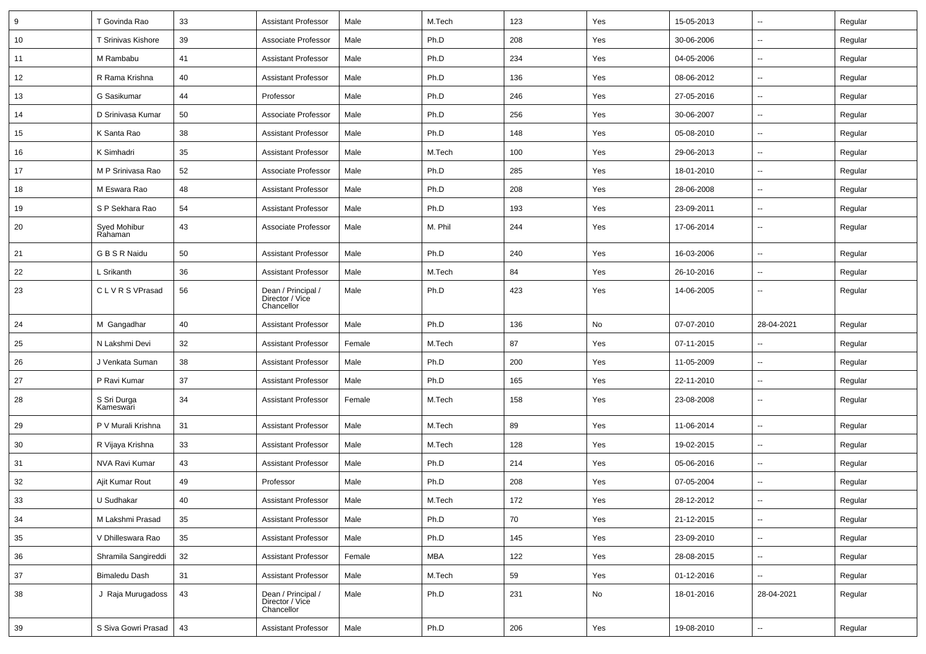| 9  | T Govinda Rao            | 33 | <b>Assistant Professor</b>                          | Male   | M.Tech     | 123 | Yes | 15-05-2013 | $\overline{\phantom{a}}$ | Regular |
|----|--------------------------|----|-----------------------------------------------------|--------|------------|-----|-----|------------|--------------------------|---------|
| 10 | T Srinivas Kishore       | 39 | Associate Professor                                 | Male   | Ph.D       | 208 | Yes | 30-06-2006 | Ξ.                       | Regular |
| 11 | M Rambabu                | 41 | <b>Assistant Professor</b>                          | Male   | Ph.D       | 234 | Yes | 04-05-2006 | --                       | Regular |
| 12 | R Rama Krishna           | 40 | <b>Assistant Professor</b>                          | Male   | Ph.D       | 136 | Yes | 08-06-2012 | $\overline{\phantom{a}}$ | Regular |
| 13 | G Sasikumar              | 44 | Professor                                           | Male   | Ph.D       | 246 | Yes | 27-05-2016 | $\overline{\phantom{a}}$ | Regular |
| 14 | D Srinivasa Kumar        | 50 | Associate Professor                                 | Male   | Ph.D       | 256 | Yes | 30-06-2007 | $\overline{\phantom{a}}$ | Regular |
| 15 | K Santa Rao              | 38 | <b>Assistant Professor</b>                          | Male   | Ph.D       | 148 | Yes | 05-08-2010 | Ξ.                       | Regular |
| 16 | K Simhadri               | 35 | <b>Assistant Professor</b>                          | Male   | M.Tech     | 100 | Yes | 29-06-2013 | $\overline{\phantom{a}}$ | Regular |
| 17 | M P Srinivasa Rao        | 52 | Associate Professor                                 | Male   | Ph.D       | 285 | Yes | 18-01-2010 | $\overline{\phantom{a}}$ | Regular |
| 18 | M Eswara Rao             | 48 | <b>Assistant Professor</b>                          | Male   | Ph.D       | 208 | Yes | 28-06-2008 | $\overline{\phantom{a}}$ | Regular |
| 19 | S P Sekhara Rao          | 54 | <b>Assistant Professor</b>                          | Male   | Ph.D       | 193 | Yes | 23-09-2011 | $\overline{\phantom{a}}$ | Regular |
| 20 | Syed Mohibur<br>Rahaman  | 43 | Associate Professor                                 | Male   | M. Phil    | 244 | Yes | 17-06-2014 | $\overline{\phantom{a}}$ | Regular |
| 21 | G B S R Naidu            | 50 | <b>Assistant Professor</b>                          | Male   | Ph.D       | 240 | Yes | 16-03-2006 | Ξ.                       | Regular |
| 22 | L Srikanth               | 36 | <b>Assistant Professor</b>                          | Male   | M.Tech     | 84  | Yes | 26-10-2016 | Ξ.                       | Regular |
| 23 | CLVRS VPrasad            | 56 | Dean / Principal /<br>Director / Vice<br>Chancellor | Male   | Ph.D       | 423 | Yes | 14-06-2005 | $\overline{\phantom{a}}$ | Regular |
| 24 | M Gangadhar              | 40 | <b>Assistant Professor</b>                          | Male   | Ph.D       | 136 | No  | 07-07-2010 | 28-04-2021               | Regular |
| 25 | N Lakshmi Devi           | 32 | <b>Assistant Professor</b>                          | Female | M.Tech     | 87  | Yes | 07-11-2015 | Ξ.                       | Regular |
| 26 | J Venkata Suman          | 38 | <b>Assistant Professor</b>                          | Male   | Ph.D       | 200 | Yes | 11-05-2009 | --                       | Regular |
| 27 | P Ravi Kumar             | 37 | <b>Assistant Professor</b>                          | Male   | Ph.D       | 165 | Yes | 22-11-2010 | $\overline{\phantom{a}}$ | Regular |
| 28 | S Sri Durga<br>Kameswari | 34 | <b>Assistant Professor</b>                          | Female | M.Tech     | 158 | Yes | 23-08-2008 | $\overline{\phantom{a}}$ | Regular |
| 29 | P V Murali Krishna       | 31 | <b>Assistant Professor</b>                          | Male   | M.Tech     | 89  | Yes | 11-06-2014 | $\overline{\phantom{a}}$ | Regular |
| 30 | R Vijaya Krishna         | 33 | <b>Assistant Professor</b>                          | Male   | M.Tech     | 128 | Yes | 19-02-2015 | --                       | Regular |
| 31 | NVA Ravi Kumar           | 43 | <b>Assistant Professor</b>                          | Male   | Ph.D       | 214 | Yes | 05-06-2016 | $\overline{\phantom{a}}$ | Regular |
| 32 | Ajit Kumar Rout          | 49 | Professor                                           | Male   | Ph.D       | 208 | Yes | 07-05-2004 | $\overline{\phantom{a}}$ | Regular |
| 33 | U Sudhakar               | 40 | Assistant Professor                                 | Male   | M.Tech     | 172 | Yes | 28-12-2012 | $\overline{\phantom{a}}$ | Regular |
| 34 | M Lakshmi Prasad         | 35 | <b>Assistant Professor</b>                          | Male   | Ph.D       | 70  | Yes | 21-12-2015 | ш,                       | Regular |
| 35 | V Dhilleswara Rao        | 35 | <b>Assistant Professor</b>                          | Male   | Ph.D       | 145 | Yes | 23-09-2010 | $\overline{\phantom{a}}$ | Regular |
| 36 | Shramila Sangireddi      | 32 | <b>Assistant Professor</b>                          | Female | <b>MBA</b> | 122 | Yes | 28-08-2015 | $\overline{\phantom{a}}$ | Regular |
| 37 | <b>Bimaledu Dash</b>     | 31 | <b>Assistant Professor</b>                          | Male   | M.Tech     | 59  | Yes | 01-12-2016 | $\sim$                   | Regular |
| 38 | J Raja Murugadoss        | 43 | Dean / Principal /<br>Director / Vice<br>Chancellor | Male   | Ph.D       | 231 | No  | 18-01-2016 | 28-04-2021               | Regular |
| 39 | S Siva Gowri Prasad      | 43 | <b>Assistant Professor</b>                          | Male   | Ph.D       | 206 | Yes | 19-08-2010 | $\overline{\phantom{a}}$ | Regular |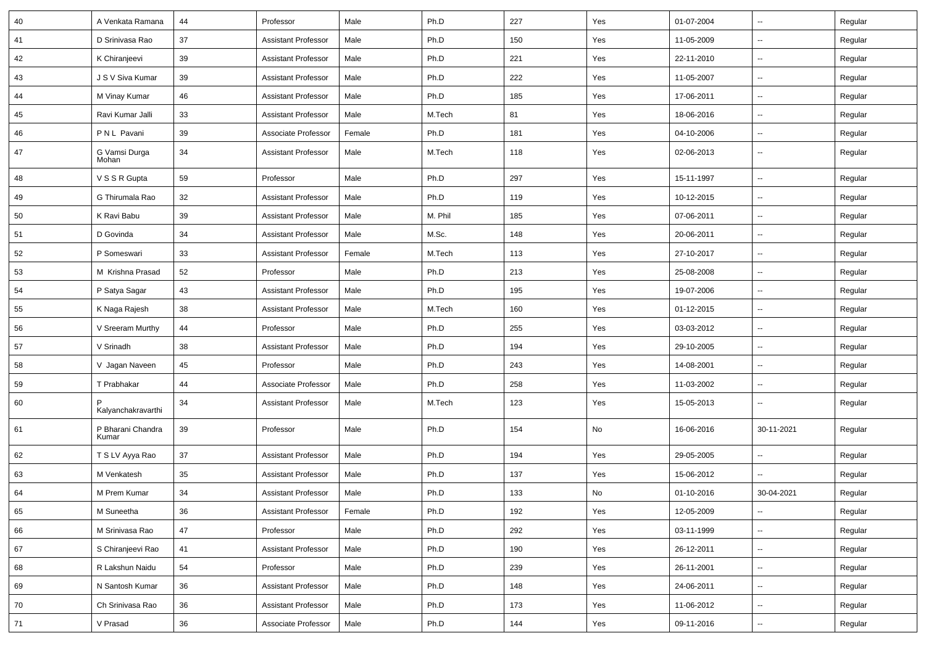| 40     | A Venkata Ramana           | 44 | Professor                  | Male   | Ph.D    | 227 | Yes | 01-07-2004 | Ξ.                       | Regular |
|--------|----------------------------|----|----------------------------|--------|---------|-----|-----|------------|--------------------------|---------|
| 41     | D Srinivasa Rao            | 37 | <b>Assistant Professor</b> | Male   | Ph.D    | 150 | Yes | 11-05-2009 | $\overline{\phantom{a}}$ | Regular |
| 42     | K Chiranjeevi              | 39 | <b>Assistant Professor</b> | Male   | Ph.D    | 221 | Yes | 22-11-2010 |                          | Regular |
| 43     | J S V Siva Kumar           | 39 | <b>Assistant Professor</b> | Male   | Ph.D    | 222 | Yes | 11-05-2007 |                          | Regular |
| 44     | M Vinay Kumar              | 46 | <b>Assistant Professor</b> | Male   | Ph.D    | 185 | Yes | 17-06-2011 | --                       | Regular |
| 45     | Ravi Kumar Jalli           | 33 | <b>Assistant Professor</b> | Male   | M.Tech  | 81  | Yes | 18-06-2016 | --                       | Regular |
| 46     | PNL Pavani                 | 39 | Associate Professor        | Female | Ph.D    | 181 | Yes | 04-10-2006 | $\sim$                   | Regular |
| 47     | G Vamsi Durga<br>Mohan     | 34 | <b>Assistant Professor</b> | Male   | M.Tech  | 118 | Yes | 02-06-2013 | $\overline{\phantom{a}}$ | Regular |
| 48     | V S S R Gupta              | 59 | Professor                  | Male   | Ph.D    | 297 | Yes | 15-11-1997 | $\overline{\phantom{a}}$ | Regular |
| 49     | G Thirumala Rao            | 32 | <b>Assistant Professor</b> | Male   | Ph.D    | 119 | Yes | 10-12-2015 | --                       | Regular |
| 50     | K Ravi Babu                | 39 | <b>Assistant Professor</b> | Male   | M. Phil | 185 | Yes | 07-06-2011 |                          | Regular |
| 51     | D Govinda                  | 34 | <b>Assistant Professor</b> | Male   | M.Sc.   | 148 | Yes | 20-06-2011 | $\overline{\phantom{a}}$ | Regular |
| 52     | P Someswari                | 33 | <b>Assistant Professor</b> | Female | M.Tech  | 113 | Yes | 27-10-2017 | $\sim$                   | Regular |
| 53     | M Krishna Prasad           | 52 | Professor                  | Male   | Ph.D    | 213 | Yes | 25-08-2008 | $\sim$                   | Regular |
| 54     | P Satya Sagar              | 43 | <b>Assistant Professor</b> | Male   | Ph.D    | 195 | Yes | 19-07-2006 | $\sim$                   | Regular |
| 55     | K Naga Rajesh              | 38 | <b>Assistant Professor</b> | Male   | M.Tech  | 160 | Yes | 01-12-2015 |                          | Regular |
| 56     | V Sreeram Murthy           | 44 | Professor                  | Male   | Ph.D    | 255 | Yes | 03-03-2012 | Ξ.                       | Regular |
| 57     | V Srinadh                  | 38 | <b>Assistant Professor</b> | Male   | Ph.D    | 194 | Yes | 29-10-2005 | $\overline{a}$           | Regular |
| 58     | V Jagan Naveen             | 45 | Professor                  | Male   | Ph.D    | 243 | Yes | 14-08-2001 | --                       | Regular |
| 59     | T Prabhakar                | 44 | Associate Professor        | Male   | Ph.D    | 258 | Yes | 11-03-2002 | $\sim$                   | Regular |
| 60     | Kalyanchakravarthi         | 34 | <b>Assistant Professor</b> | Male   | M.Tech  | 123 | Yes | 15-05-2013 | $\overline{\phantom{a}}$ | Regular |
| 61     | P Bharani Chandra<br>Kumar | 39 | Professor                  | Male   | Ph.D    | 154 | No  | 16-06-2016 | 30-11-2021               | Regular |
| 62     | T S LV Ayya Rao            | 37 | <b>Assistant Professor</b> | Male   | Ph.D    | 194 | Yes | 29-05-2005 | $\sim$                   | Regular |
| 63     | M Venkatesh                | 35 | <b>Assistant Professor</b> | Male   | Ph.D    | 137 | Yes | 15-06-2012 |                          | Regular |
| 64     | M Prem Kumar               | 34 | <b>Assistant Professor</b> | Male   | Ph.D    | 133 | No  | 01-10-2016 | 30-04-2021               | Regular |
| 65     | M Suneetha                 | 36 | <b>Assistant Professor</b> | Female | Ph.D    | 192 | Yes | 12-05-2009 | $\ddotsc$                | Regular |
| 66     | M Srinivasa Rao            | 47 | Professor                  | Male   | Ph.D    | 292 | Yes | 03-11-1999 | --                       | Regular |
| 67     | S Chiranjeevi Rao          | 41 | <b>Assistant Professor</b> | Male   | Ph.D    | 190 | Yes | 26-12-2011 | $\overline{\phantom{a}}$ | Regular |
| 68     | R Lakshun Naidu            | 54 | Professor                  | Male   | Ph.D    | 239 | Yes | 26-11-2001 | $\sim$                   | Regular |
| 69     | N Santosh Kumar            | 36 | <b>Assistant Professor</b> | Male   | Ph.D    | 148 | Yes | 24-06-2011 | $\sim$                   | Regular |
| $70\,$ | Ch Srinivasa Rao           | 36 | Assistant Professor        | Male   | Ph.D    | 173 | Yes | 11-06-2012 | Ξ.                       | Regular |
| 71     | V Prasad                   | 36 | Associate Professor        | Male   | Ph.D    | 144 | Yes | 09-11-2016 | $\overline{\phantom{a}}$ | Regular |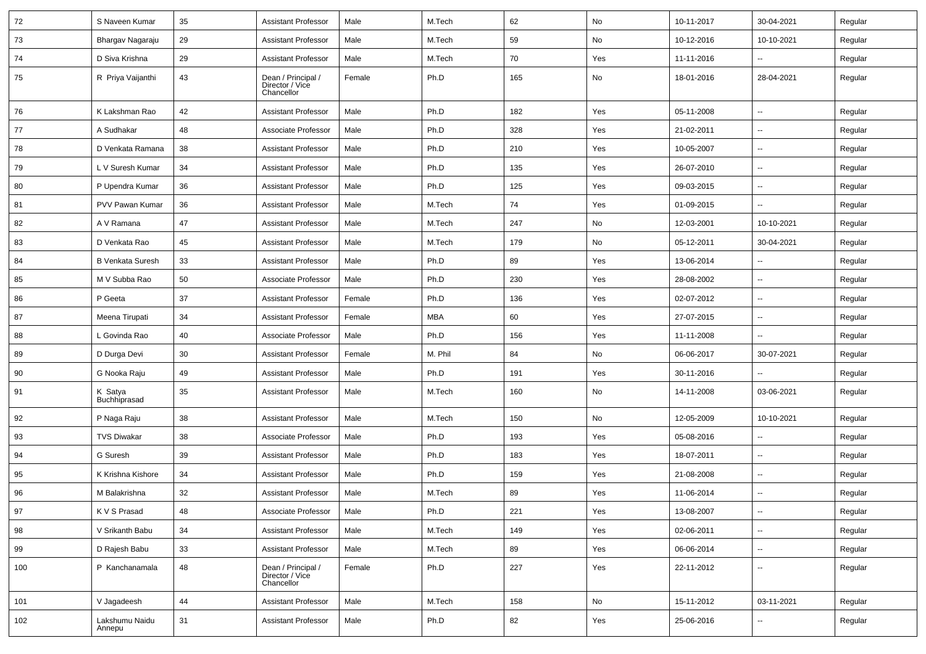| 72  | S Naveen Kumar           | 35 | <b>Assistant Professor</b>                          | Male   | M.Tech  | 62  | No  | 10-11-2017 | 30-04-2021               | Regular |
|-----|--------------------------|----|-----------------------------------------------------|--------|---------|-----|-----|------------|--------------------------|---------|
| 73  | Bhargav Nagaraju         | 29 | <b>Assistant Professor</b>                          | Male   | M.Tech  | 59  | No  | 10-12-2016 | 10-10-2021               | Regular |
| 74  | D Siva Krishna           | 29 | <b>Assistant Professor</b>                          | Male   | M.Tech  | 70  | Yes | 11-11-2016 | $\overline{\phantom{a}}$ | Regular |
| 75  | R Priya Vaijanthi        | 43 | Dean / Principal /<br>Director / Vice<br>Chancellor | Female | Ph.D    | 165 | No  | 18-01-2016 | 28-04-2021               | Regular |
| 76  | K Lakshman Rao           | 42 | <b>Assistant Professor</b>                          | Male   | Ph.D    | 182 | Yes | 05-11-2008 | $\mathbf{u}$             | Regular |
| 77  | A Sudhakar               | 48 | Associate Professor                                 | Male   | Ph.D    | 328 | Yes | 21-02-2011 | $\overline{\phantom{a}}$ | Regular |
| 78  | D Venkata Ramana         | 38 | <b>Assistant Professor</b>                          | Male   | Ph.D    | 210 | Yes | 10-05-2007 | $\overline{\phantom{a}}$ | Regular |
| 79  | L V Suresh Kumar         | 34 | <b>Assistant Professor</b>                          | Male   | Ph.D    | 135 | Yes | 26-07-2010 | Ξ.                       | Regular |
| 80  | P Upendra Kumar          | 36 | <b>Assistant Professor</b>                          | Male   | Ph.D    | 125 | Yes | 09-03-2015 | $\overline{\phantom{a}}$ | Regular |
| 81  | PVV Pawan Kumar          | 36 | <b>Assistant Professor</b>                          | Male   | M.Tech  | 74  | Yes | 01-09-2015 | $\overline{\phantom{a}}$ | Regular |
| 82  | A V Ramana               | 47 | <b>Assistant Professor</b>                          | Male   | M.Tech  | 247 | No  | 12-03-2001 | 10-10-2021               | Regular |
| 83  | D Venkata Rao            | 45 | <b>Assistant Professor</b>                          | Male   | M.Tech  | 179 | No  | 05-12-2011 | 30-04-2021               | Regular |
| 84  | <b>B Venkata Suresh</b>  | 33 | <b>Assistant Professor</b>                          | Male   | Ph.D    | 89  | Yes | 13-06-2014 | --                       | Regular |
| 85  | M V Subba Rao            | 50 | Associate Professor                                 | Male   | Ph.D    | 230 | Yes | 28-08-2002 | $\sim$                   | Regular |
| 86  | P Geeta                  | 37 | <b>Assistant Professor</b>                          | Female | Ph.D    | 136 | Yes | 02-07-2012 | $\overline{\phantom{a}}$ | Regular |
| 87  | Meena Tirupati           | 34 | <b>Assistant Professor</b>                          | Female | MBA     | 60  | Yes | 27-07-2015 | $\overline{\phantom{a}}$ | Regular |
| 88  | L Govinda Rao            | 40 | Associate Professor                                 | Male   | Ph.D    | 156 | Yes | 11-11-2008 | --                       | Regular |
| 89  | D Durga Devi             | 30 | <b>Assistant Professor</b>                          | Female | M. Phil | 84  | No  | 06-06-2017 | 30-07-2021               | Regular |
| 90  | G Nooka Raju             | 49 | <b>Assistant Professor</b>                          | Male   | Ph.D    | 191 | Yes | 30-11-2016 |                          | Regular |
| 91  | K Satya<br>Buchhiprasad  | 35 | <b>Assistant Professor</b>                          | Male   | M.Tech  | 160 | No  | 14-11-2008 | 03-06-2021               | Regular |
| 92  | P Naga Raju              | 38 | <b>Assistant Professor</b>                          | Male   | M.Tech  | 150 | No  | 12-05-2009 | 10-10-2021               | Regular |
| 93  | <b>TVS Diwakar</b>       | 38 | Associate Professor                                 | Male   | Ph.D    | 193 | Yes | 05-08-2016 | $\overline{\phantom{a}}$ | Regular |
| 94  | G Suresh                 | 39 | <b>Assistant Professor</b>                          | Male   | Ph.D    | 183 | Yes | 18-07-2011 | $\overline{\phantom{a}}$ | Regular |
| 95  | K Krishna Kishore        | 34 | <b>Assistant Professor</b>                          | Male   | Ph.D    | 159 | Yes | 21-08-2008 | $\overline{\phantom{a}}$ | Regular |
| 96  | M Balakrishna            | 32 | <b>Assistant Professor</b>                          | Male   | M.Tech  | 89  | Yes | 11-06-2014 |                          | Regular |
| 97  | K V S Prasad             | 48 | Associate Professor                                 | Male   | Ph.D    | 221 | Yes | 13-08-2007 | Щ,                       | Regular |
| 98  | V Srikanth Babu          | 34 | <b>Assistant Professor</b>                          | Male   | M.Tech  | 149 | Yes | 02-06-2011 | Щ,                       | Regular |
| 99  | D Rajesh Babu            | 33 | <b>Assistant Professor</b>                          | Male   | M.Tech  | 89  | Yes | 06-06-2014 | Щ,                       | Regular |
| 100 | P Kanchanamala           | 48 | Dean / Principal /<br>Director / Vice<br>Chancellor | Female | Ph.D    | 227 | Yes | 22-11-2012 | Щ,                       | Regular |
| 101 | V Jagadeesh              | 44 | <b>Assistant Professor</b>                          | Male   | M.Tech  | 158 | No  | 15-11-2012 | 03-11-2021               | Regular |
| 102 | Lakshumu Naidu<br>Annepu | 31 | <b>Assistant Professor</b>                          | Male   | Ph.D    | 82  | Yes | 25-06-2016 | $\overline{\phantom{a}}$ | Regular |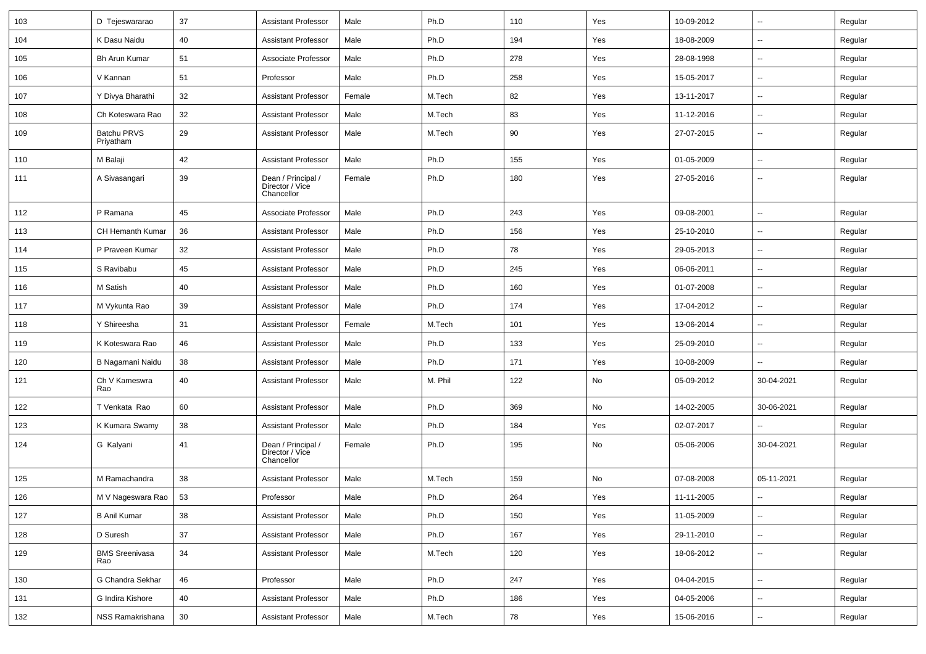| 103 | D Tejeswararao                  | 37 | <b>Assistant Professor</b>                          | Male   | Ph.D    | 110 | Yes | 10-09-2012 | $\sim$                   | Regular |
|-----|---------------------------------|----|-----------------------------------------------------|--------|---------|-----|-----|------------|--------------------------|---------|
| 104 | K Dasu Naidu                    | 40 | <b>Assistant Professor</b>                          | Male   | Ph.D    | 194 | Yes | 18-08-2009 | $\mathbf{u}$             | Regular |
| 105 | <b>Bh Arun Kumar</b>            | 51 | Associate Professor                                 | Male   | Ph.D    | 278 | Yes | 28-08-1998 |                          | Regular |
| 106 | V Kannan                        | 51 | Professor                                           | Male   | Ph.D    | 258 | Yes | 15-05-2017 | $\overline{\phantom{a}}$ | Regular |
| 107 | Y Divya Bharathi                | 32 | <b>Assistant Professor</b>                          | Female | M.Tech  | 82  | Yes | 13-11-2017 | $\overline{\phantom{a}}$ | Regular |
| 108 | Ch Koteswara Rao                | 32 | <b>Assistant Professor</b>                          | Male   | M.Tech  | 83  | Yes | 11-12-2016 | $\sim$                   | Regular |
| 109 | <b>Batchu PRVS</b><br>Priyatham | 29 | <b>Assistant Professor</b>                          | Male   | M.Tech  | 90  | Yes | 27-07-2015 | $\overline{\phantom{a}}$ | Regular |
| 110 | M Balaji                        | 42 | <b>Assistant Professor</b>                          | Male   | Ph.D    | 155 | Yes | 01-05-2009 | $\sim$                   | Regular |
| 111 | A Sivasangari                   | 39 | Dean / Principal /<br>Director / Vice<br>Chancellor | Female | Ph.D    | 180 | Yes | 27-05-2016 | $\overline{\phantom{a}}$ | Regular |
| 112 | P Ramana                        | 45 | Associate Professor                                 | Male   | Ph.D    | 243 | Yes | 09-08-2001 | $\sim$                   | Regular |
| 113 | CH Hemanth Kumar                | 36 | <b>Assistant Professor</b>                          | Male   | Ph.D    | 156 | Yes | 25-10-2010 | $\overline{\phantom{a}}$ | Regular |
| 114 | P Praveen Kumar                 | 32 | <b>Assistant Professor</b>                          | Male   | Ph.D    | 78  | Yes | 29-05-2013 | $\mathbf{u}$             | Regular |
| 115 | S Ravibabu                      | 45 | <b>Assistant Professor</b>                          | Male   | Ph.D    | 245 | Yes | 06-06-2011 | $\overline{\phantom{a}}$ | Regular |
| 116 | M Satish                        | 40 | <b>Assistant Professor</b>                          | Male   | Ph.D    | 160 | Yes | 01-07-2008 | --                       | Regular |
| 117 | M Vykunta Rao                   | 39 | <b>Assistant Professor</b>                          | Male   | Ph.D    | 174 | Yes | 17-04-2012 | $\overline{a}$           | Regular |
| 118 | Y Shireesha                     | 31 | <b>Assistant Professor</b>                          | Female | M.Tech  | 101 | Yes | 13-06-2014 | $\sim$                   | Regular |
| 119 | K Koteswara Rao                 | 46 | <b>Assistant Professor</b>                          | Male   | Ph.D    | 133 | Yes | 25-09-2010 | $\overline{\phantom{a}}$ | Regular |
| 120 | B Nagamani Naidu                | 38 | <b>Assistant Professor</b>                          | Male   | Ph.D    | 171 | Yes | 10-08-2009 |                          | Regular |
| 121 | Ch V Kameswra<br>Rao            | 40 | <b>Assistant Professor</b>                          | Male   | M. Phil | 122 | No  | 05-09-2012 | 30-04-2021               | Regular |
| 122 | T Venkata Rao                   | 60 | <b>Assistant Professor</b>                          | Male   | Ph.D    | 369 | No  | 14-02-2005 | 30-06-2021               | Regular |
| 123 | K Kumara Swamy                  | 38 | <b>Assistant Professor</b>                          | Male   | Ph.D    | 184 | Yes | 02-07-2017 |                          | Regular |
| 124 | G Kalyani                       | 41 | Dean / Principal /<br>Director / Vice<br>Chancellor | Female | Ph.D    | 195 | No  | 05-06-2006 | 30-04-2021               | Regular |
| 125 | M Ramachandra                   | 38 | <b>Assistant Professor</b>                          | Male   | M.Tech  | 159 | No  | 07-08-2008 | 05-11-2021               | Regular |
| 126 | M V Nageswara Rao               | 53 | Professor                                           | Male   | Ph.D    | 264 | Yes | 11-11-2005 |                          | Regular |
| 127 | <b>B Anil Kumar</b>             | 38 | <b>Assistant Professor</b>                          | Male   | Ph.D    | 150 | Yes | 11-05-2009 | $\sim$                   | Regular |
| 128 | D Suresh                        | 37 | <b>Assistant Professor</b>                          | Male   | Ph.D    | 167 | Yes | 29-11-2010 | $\sim$                   | Regular |
| 129 | <b>BMS Sreenivasa</b><br>Rao    | 34 | <b>Assistant Professor</b>                          | Male   | M.Tech  | 120 | Yes | 18-06-2012 | $\sim$                   | Regular |
| 130 | G Chandra Sekhar                | 46 | Professor                                           | Male   | Ph.D    | 247 | Yes | 04-04-2015 | $\sim$                   | Regular |
| 131 | G Indira Kishore                | 40 | <b>Assistant Professor</b>                          | Male   | Ph.D    | 186 | Yes | 04-05-2006 | $\overline{\phantom{a}}$ | Regular |
| 132 | NSS Ramakrishana                | 30 | <b>Assistant Professor</b>                          | Male   | M.Tech  | 78  | Yes | 15-06-2016 | $\sim$                   | Regular |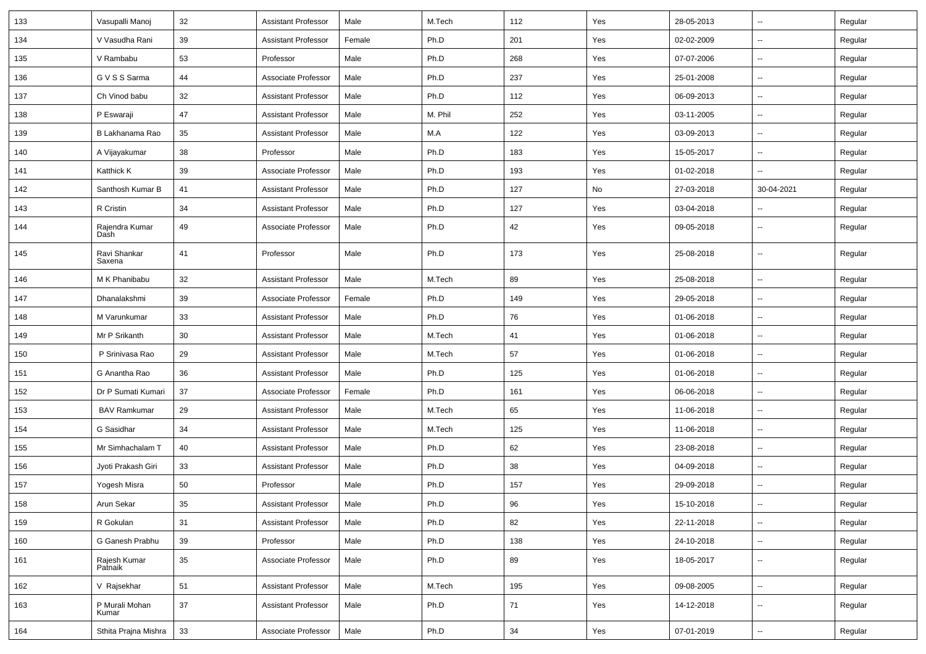| 133 | Vasupalli Manoj         | 32 | <b>Assistant Professor</b> | Male   | M.Tech  | 112 | Yes | 28-05-2013 |                          | Regular |
|-----|-------------------------|----|----------------------------|--------|---------|-----|-----|------------|--------------------------|---------|
| 134 | V Vasudha Rani          | 39 | <b>Assistant Professor</b> | Female | Ph.D    | 201 | Yes | 02-02-2009 | $\sim$                   | Regular |
| 135 | V Rambabu               | 53 | Professor                  | Male   | Ph.D    | 268 | Yes | 07-07-2006 |                          | Regular |
| 136 | G V S S Sarma           | 44 | Associate Professor        | Male   | Ph.D    | 237 | Yes | 25-01-2008 | $\overline{\phantom{a}}$ | Regular |
| 137 | Ch Vinod babu           | 32 | <b>Assistant Professor</b> | Male   | Ph.D    | 112 | Yes | 06-09-2013 | $\sim$                   | Regular |
| 138 | P Eswaraji              | 47 | <b>Assistant Professor</b> | Male   | M. Phil | 252 | Yes | 03-11-2005 |                          | Regular |
| 139 | B Lakhanama Rao         | 35 | <b>Assistant Professor</b> | Male   | M.A     | 122 | Yes | 03-09-2013 | $\overline{\phantom{a}}$ | Regular |
| 140 | A Vijayakumar           | 38 | Professor                  | Male   | Ph.D    | 183 | Yes | 15-05-2017 | $\sim$                   | Regular |
| 141 | Katthick K              | 39 | Associate Professor        | Male   | Ph.D    | 193 | Yes | 01-02-2018 | н.                       | Regular |
| 142 | Santhosh Kumar B        | 41 | <b>Assistant Professor</b> | Male   | Ph.D    | 127 | No  | 27-03-2018 | 30-04-2021               | Regular |
| 143 | R Cristin               | 34 | <b>Assistant Professor</b> | Male   | Ph.D    | 127 | Yes | 03-04-2018 | $\overline{\phantom{a}}$ | Regular |
| 144 | Rajendra Kumar<br>Dash  | 49 | Associate Professor        | Male   | Ph.D    | 42  | Yes | 09-05-2018 |                          | Regular |
| 145 | Ravi Shankar<br>Saxena  | 41 | Professor                  | Male   | Ph.D    | 173 | Yes | 25-08-2018 | $\overline{\phantom{a}}$ | Regular |
| 146 | M K Phanibabu           | 32 | <b>Assistant Professor</b> | Male   | M.Tech  | 89  | Yes | 25-08-2018 |                          | Regular |
| 147 | Dhanalakshmi            | 39 | Associate Professor        | Female | Ph.D    | 149 | Yes | 29-05-2018 |                          | Regular |
| 148 | M Varunkumar            | 33 | <b>Assistant Professor</b> | Male   | Ph.D    | 76  | Yes | 01-06-2018 | $\sim$                   | Regular |
| 149 | Mr P Srikanth           | 30 | <b>Assistant Professor</b> | Male   | M.Tech  | 41  | Yes | 01-06-2018 | ⊷.                       | Regular |
| 150 | P Srinivasa Rao         | 29 | <b>Assistant Professor</b> | Male   | M.Tech  | 57  | Yes | 01-06-2018 | $\sim$                   | Regular |
| 151 | G Anantha Rao           | 36 | <b>Assistant Professor</b> | Male   | Ph.D    | 125 | Yes | 01-06-2018 |                          | Regular |
| 152 | Dr P Sumati Kumari      | 37 | Associate Professor        | Female | Ph.D    | 161 | Yes | 06-06-2018 |                          | Regular |
| 153 | <b>BAV Ramkumar</b>     | 29 | <b>Assistant Professor</b> | Male   | M.Tech  | 65  | Yes | 11-06-2018 | $\overline{\phantom{a}}$ | Regular |
| 154 | G Sasidhar              | 34 | <b>Assistant Professor</b> | Male   | M.Tech  | 125 | Yes | 11-06-2018 | $\sim$                   | Regular |
| 155 | Mr Simhachalam T        | 40 | <b>Assistant Professor</b> | Male   | Ph.D    | 62  | Yes | 23-08-2018 | н.                       | Regular |
| 156 | Jyoti Prakash Giri      | 33 | <b>Assistant Professor</b> | Male   | Ph.D    | 38  | Yes | 04-09-2018 |                          | Regular |
| 157 | Yogesh Misra            | 50 | Professor                  | Male   | Ph.D    | 157 | Yes | 29-09-2018 | $\sim$                   | Regular |
| 158 | Arun Sekar              | 35 | Assistant Professor        | Male   | Ph.D    | 96  | Yes | 15-10-2018 |                          | Regular |
| 159 | R Gokulan               | 31 | <b>Assistant Professor</b> | Male   | Ph.D    | 82  | Yes | 22-11-2018 | $\sim$                   | Regular |
| 160 | G Ganesh Prabhu         | 39 | Professor                  | Male   | Ph.D    | 138 | Yes | 24-10-2018 | $\sim$                   | Regular |
| 161 | Rajesh Kumar<br>Patnaik | 35 | Associate Professor        | Male   | Ph.D    | 89  | Yes | 18-05-2017 | $\sim$                   | Regular |
| 162 | V Rajsekhar             | 51 | <b>Assistant Professor</b> | Male   | M.Tech  | 195 | Yes | 09-08-2005 | $\sim$                   | Regular |
| 163 | P Murali Mohan<br>Kumar | 37 | <b>Assistant Professor</b> | Male   | Ph.D    | 71  | Yes | 14-12-2018 | $\sim$                   | Regular |
| 164 | Sthita Prajna Mishra    | 33 | Associate Professor        | Male   | Ph.D    | 34  | Yes | 07-01-2019 | Щ,                       | Regular |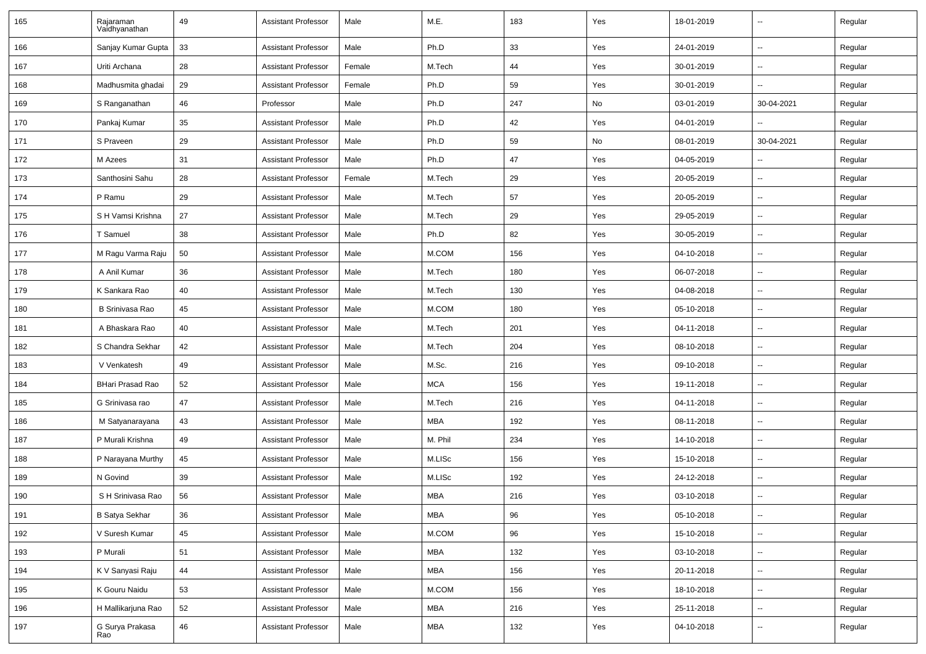| 165 | Rajaraman<br>Vaidhyanathan | 49 | <b>Assistant Professor</b> | Male   | M.E.       | 183 | Yes | 18-01-2019 | $\mathbf{u}$             | Regular |
|-----|----------------------------|----|----------------------------|--------|------------|-----|-----|------------|--------------------------|---------|
| 166 | Sanjay Kumar Gupta         | 33 | <b>Assistant Professor</b> | Male   | Ph.D       | 33  | Yes | 24-01-2019 | $\sim$                   | Regular |
| 167 | Uriti Archana              | 28 | <b>Assistant Professor</b> | Female | M.Tech     | 44  | Yes | 30-01-2019 | $\sim$                   | Regular |
| 168 | Madhusmita ghadai          | 29 | Assistant Professor        | Female | Ph.D       | 59  | Yes | 30-01-2019 |                          | Regular |
| 169 | S Ranganathan              | 46 | Professor                  | Male   | Ph.D       | 247 | No  | 03-01-2019 | 30-04-2021               | Regular |
| 170 | Pankaj Kumar               | 35 | <b>Assistant Professor</b> | Male   | Ph.D       | 42  | Yes | 04-01-2019 |                          | Regular |
| 171 | S Praveen                  | 29 | <b>Assistant Professor</b> | Male   | Ph.D       | 59  | No  | 08-01-2019 | 30-04-2021               | Regular |
| 172 | M Azees                    | 31 | <b>Assistant Professor</b> | Male   | Ph.D       | 47  | Yes | 04-05-2019 | $\sim$                   | Regular |
| 173 | Santhosini Sahu            | 28 | <b>Assistant Professor</b> | Female | M.Tech     | 29  | Yes | 20-05-2019 | $\mathbf{u}$             | Regular |
| 174 | P Ramu                     | 29 | <b>Assistant Professor</b> | Male   | M.Tech     | 57  | Yes | 20-05-2019 | $\overline{a}$           | Regular |
| 175 | S H Vamsi Krishna          | 27 | <b>Assistant Professor</b> | Male   | M.Tech     | 29  | Yes | 29-05-2019 |                          | Regular |
| 176 | T Samuel                   | 38 | <b>Assistant Professor</b> | Male   | Ph.D       | 82  | Yes | 30-05-2019 | $\overline{\phantom{a}}$ | Regular |
| 177 | M Ragu Varma Raju          | 50 | <b>Assistant Professor</b> | Male   | M.COM      | 156 | Yes | 04-10-2018 | $\sim$                   | Regular |
| 178 | A Anil Kumar               | 36 | <b>Assistant Professor</b> | Male   | M.Tech     | 180 | Yes | 06-07-2018 | $\mathbf{u}$             | Regular |
| 179 | K Sankara Rao              | 40 | <b>Assistant Professor</b> | Male   | M.Tech     | 130 | Yes | 04-08-2018 | $\sim$                   | Regular |
| 180 | B Srinivasa Rao            | 45 | <b>Assistant Professor</b> | Male   | M.COM      | 180 | Yes | 05-10-2018 |                          | Regular |
| 181 | A Bhaskara Rao             | 40 | <b>Assistant Professor</b> | Male   | M.Tech     | 201 | Yes | 04-11-2018 |                          | Regular |
| 182 | S Chandra Sekhar           | 42 | <b>Assistant Professor</b> | Male   | M.Tech     | 204 | Yes | 08-10-2018 | $\overline{\phantom{a}}$ | Regular |
| 183 | V Venkatesh                | 49 | <b>Assistant Professor</b> | Male   | M.Sc.      | 216 | Yes | 09-10-2018 |                          | Regular |
| 184 | <b>BHari Prasad Rao</b>    | 52 | <b>Assistant Professor</b> | Male   | <b>MCA</b> | 156 | Yes | 19-11-2018 | $\sim$                   | Regular |
| 185 | G Srinivasa rao            | 47 | Assistant Professor        | Male   | M.Tech     | 216 | Yes | 04-11-2018 | $\sim$                   | Regular |
| 186 | M Satyanarayana            | 43 | <b>Assistant Professor</b> | Male   | MBA        | 192 | Yes | 08-11-2018 | --                       | Regular |
| 187 | P Murali Krishna           | 49 | <b>Assistant Professor</b> | Male   | M. Phil    | 234 | Yes | 14-10-2018 | $\overline{\phantom{a}}$ | Regular |
| 188 | P Narayana Murthy          | 45 | <b>Assistant Professor</b> | Male   | M.LISc     | 156 | Yes | 15-10-2018 | $\overline{\phantom{a}}$ | Regular |
| 189 | N Govind                   | 39 | <b>Assistant Professor</b> | Male   | M.LISc     | 192 | Yes | 24-12-2018 |                          | Regular |
| 190 | S H Srinivasa Rao          | 56 | <b>Assistant Professor</b> | Male   | <b>MBA</b> | 216 | Yes | 03-10-2018 |                          | Regular |
| 191 | <b>B Satya Sekhar</b>      | 36 | <b>Assistant Professor</b> | Male   | <b>MBA</b> | 96  | Yes | 05-10-2018 | $\sim$                   | Regular |
| 192 | V Suresh Kumar             | 45 | Assistant Professor        | Male   | $M.$ COM   | 96  | Yes | 15-10-2018 | $\sim$                   | Regular |
| 193 | P Murali                   | 51 | <b>Assistant Professor</b> | Male   | <b>MBA</b> | 132 | Yes | 03-10-2018 | $\sim$                   | Regular |
| 194 | K V Sanyasi Raju           | 44 | <b>Assistant Professor</b> | Male   | <b>MBA</b> | 156 | Yes | 20-11-2018 | $\sim$                   | Regular |
| 195 | K Gouru Naidu              | 53 | <b>Assistant Professor</b> | Male   | $M.$ COM   | 156 | Yes | 18-10-2018 | $\sim$                   | Regular |
| 196 | H Mallikarjuna Rao         | 52 | <b>Assistant Professor</b> | Male   | <b>MBA</b> | 216 | Yes | 25-11-2018 | $\sim$                   | Regular |
| 197 | G Surya Prakasa<br>Rao     | 46 | Assistant Professor        | Male   | MBA        | 132 | Yes | 04-10-2018 | $\sim$                   | Regular |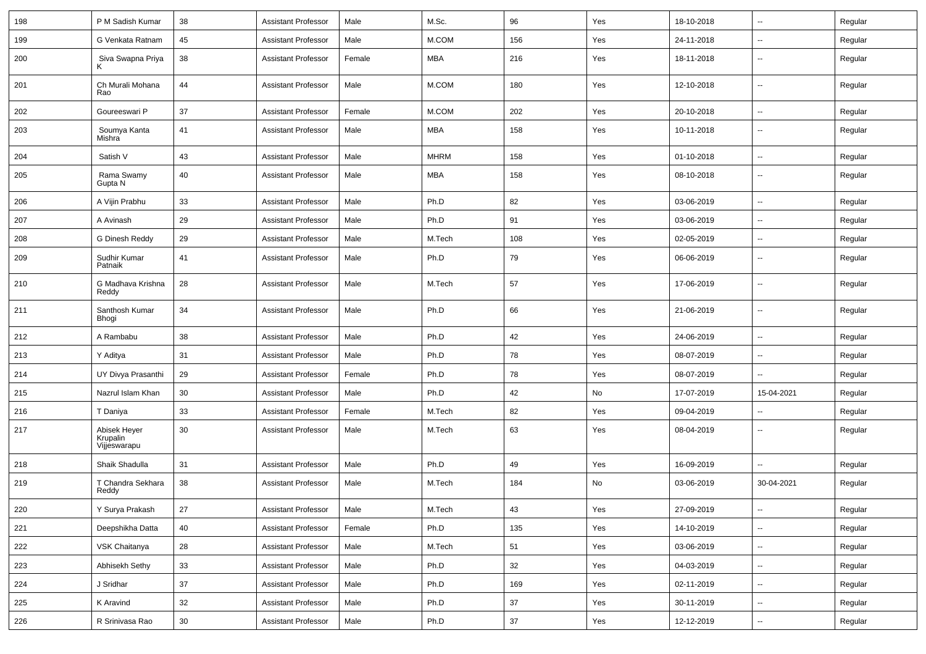| 198 | P M Sadish Kumar                         | 38 | <b>Assistant Professor</b> | Male   | M.Sc.       | 96  | Yes | 18-10-2018 | $\overline{\phantom{a}}$ | Regular |
|-----|------------------------------------------|----|----------------------------|--------|-------------|-----|-----|------------|--------------------------|---------|
| 199 | G Venkata Ratnam                         | 45 | <b>Assistant Professor</b> | Male   | M.COM       | 156 | Yes | 24-11-2018 | $\overline{a}$           | Regular |
| 200 | Siva Swapna Priya<br>ĸ                   | 38 | <b>Assistant Professor</b> | Female | <b>MBA</b>  | 216 | Yes | 18-11-2018 | --                       | Regular |
| 201 | Ch Murali Mohana<br>Rao                  | 44 | <b>Assistant Professor</b> | Male   | M.COM       | 180 | Yes | 12-10-2018 | $\overline{\phantom{a}}$ | Regular |
| 202 | Goureeswari P                            | 37 | <b>Assistant Professor</b> | Female | M.COM       | 202 | Yes | 20-10-2018 | $\overline{\phantom{a}}$ | Regular |
| 203 | Soumya Kanta<br>Mishra                   | 41 | <b>Assistant Professor</b> | Male   | <b>MBA</b>  | 158 | Yes | 10-11-2018 | --                       | Regular |
| 204 | Satish V                                 | 43 | <b>Assistant Professor</b> | Male   | <b>MHRM</b> | 158 | Yes | 01-10-2018 | -−                       | Regular |
| 205 | Rama Swamy<br>Gupta N                    | 40 | <b>Assistant Professor</b> | Male   | MBA         | 158 | Yes | 08-10-2018 | $\sim$                   | Regular |
| 206 | A Vijin Prabhu                           | 33 | <b>Assistant Professor</b> | Male   | Ph.D        | 82  | Yes | 03-06-2019 | $\sim$                   | Regular |
| 207 | A Avinash                                | 29 | <b>Assistant Professor</b> | Male   | Ph.D        | 91  | Yes | 03-06-2019 | $\overline{\phantom{a}}$ | Regular |
| 208 | G Dinesh Reddy                           | 29 | <b>Assistant Professor</b> | Male   | M.Tech      | 108 | Yes | 02-05-2019 | ⊷.                       | Regular |
| 209 | Sudhir Kumar<br>Patnaik                  | 41 | <b>Assistant Professor</b> | Male   | Ph.D        | 79  | Yes | 06-06-2019 | --                       | Regular |
| 210 | G Madhava Krishna<br>Reddy               | 28 | <b>Assistant Professor</b> | Male   | M.Tech      | 57  | Yes | 17-06-2019 | $\overline{\phantom{a}}$ | Regular |
| 211 | Santhosh Kumar<br>Bhogi                  | 34 | <b>Assistant Professor</b> | Male   | Ph.D        | 66  | Yes | 21-06-2019 | $\overline{\phantom{a}}$ | Regular |
| 212 | A Rambabu                                | 38 | <b>Assistant Professor</b> | Male   | Ph.D        | 42  | Yes | 24-06-2019 | $\overline{\phantom{a}}$ | Regular |
| 213 | Y Aditya                                 | 31 | <b>Assistant Professor</b> | Male   | Ph.D        | 78  | Yes | 08-07-2019 | --                       | Regular |
| 214 | UY Divya Prasanthi                       | 29 | <b>Assistant Professor</b> | Female | Ph.D        | 78  | Yes | 08-07-2019 | --                       | Regular |
| 215 | Nazrul Islam Khan                        | 30 | <b>Assistant Professor</b> | Male   | Ph.D        | 42  | No  | 17-07-2019 | 15-04-2021               | Regular |
| 216 | T Daniya                                 | 33 | <b>Assistant Professor</b> | Female | M.Tech      | 82  | Yes | 09-04-2019 | $\overline{\phantom{a}}$ | Regular |
| 217 | Abisek Heyer<br>Krupalin<br>Vijjeswarapu | 30 | <b>Assistant Professor</b> | Male   | M.Tech      | 63  | Yes | 08-04-2019 | --                       | Regular |
| 218 | Shaik Shadulla                           | 31 | <b>Assistant Professor</b> | Male   | Ph.D        | 49  | Yes | 16-09-2019 | $\overline{a}$           | Regular |
| 219 | T Chandra Sekhara<br>Reddy               | 38 | <b>Assistant Professor</b> | Male   | M.Tech      | 184 | No  | 03-06-2019 | 30-04-2021               | Regular |
| 220 | Y Surya Prakash                          | 27 | Assistant Professor        | Male   | M.Tech      | 43  | Yes | 27-09-2019 | $\sim$                   | Regular |
| 221 | Deepshikha Datta                         | 40 | <b>Assistant Professor</b> | Female | Ph.D        | 135 | Yes | 14-10-2019 | $\overline{\phantom{a}}$ | Regular |
| 222 | VSK Chaitanya                            | 28 | <b>Assistant Professor</b> | Male   | M.Tech      | 51  | Yes | 03-06-2019 | Ξ.                       | Regular |
| 223 | Abhisekh Sethy                           | 33 | <b>Assistant Professor</b> | Male   | Ph.D        | 32  | Yes | 04-03-2019 | $\sim$                   | Regular |
| 224 | J Sridhar                                | 37 | <b>Assistant Professor</b> | Male   | Ph.D        | 169 | Yes | 02-11-2019 | $\sim$                   | Regular |
| 225 | K Aravind                                | 32 | <b>Assistant Professor</b> | Male   | Ph.D        | 37  | Yes | 30-11-2019 | $\sim$                   | Regular |
| 226 | R Srinivasa Rao                          | 30 | Assistant Professor        | Male   | Ph.D        | 37  | Yes | 12-12-2019 | $\sim$                   | Regular |